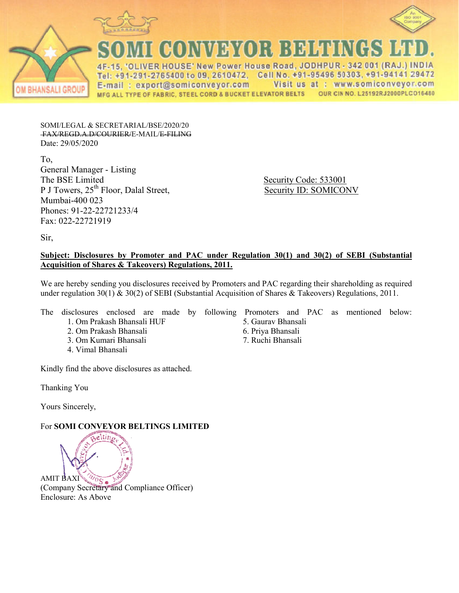



ANSALI GROUP

CONVEYOR BELTINGS

4F-15, 'OLIVER HOUSE' New Power House Road, JODHPUR - 342 001 (RAJ.) INDIA Tel: +91-291-2765400 to 09, 2610472, Cell No. +91-95496 50303, +91-94141 29472 E-mail: export@somiconveyor.com Visit us at : www.somiconveyor.com OUR CIN NO. L25192RJ2000PLCO16480 MFG ALL TYPE OF FABRIC, STEEL CORD & BUCKET ELEVATOR BELTS

SOMI/LEGAL & SECRETARIAL/BSE/2020/20 FAX/REGD.A.D/COURIER/E-MAIL/E-FIL FILING Date: 29/05/2020

To, General Manager - Listing The BSE Limited P J Towers,  $25<sup>th</sup>$  Floor, Dalal Street, Mumbai-400 023 Phones: 91-22-22721233/4 Fax: 022-22721919

 Security Code: 533001 Security Code: 533001<br>
Security ID: SOMICONV

Sir,

### **Subject: Disclosures by Promoter and PAC under Regulation 30(1) and 30(2) of SEBI (Substantial Acquisition of Shares & Takeovers) Regulations, 2011.**

We are hereby sending you disclosures received by Promoters and PAC regarding their shareholding as required under regulation 30(1) & 30(2) of SEBI (Substantial Acquisition of Shares & Takeovers) Regulations, 2011.

The disclosures enclosed are made by following Promoters and PAC as mentioned below:

- 1. Om Prakash Bhansali HUF
- 2. Om Prakash Bhansali
- 3. Om Kumari Bhansali
- 4. Vimal Bhansali

Kindly find the above disclosures as attached.

Thanking You

Yours Sincerely,

# **For SOMI CONVEYOR BELTINGS LIMITED**



- 5. Gaurav Bhansali
- 6. Priya Bhansali
- 7. Ruchi Bhansali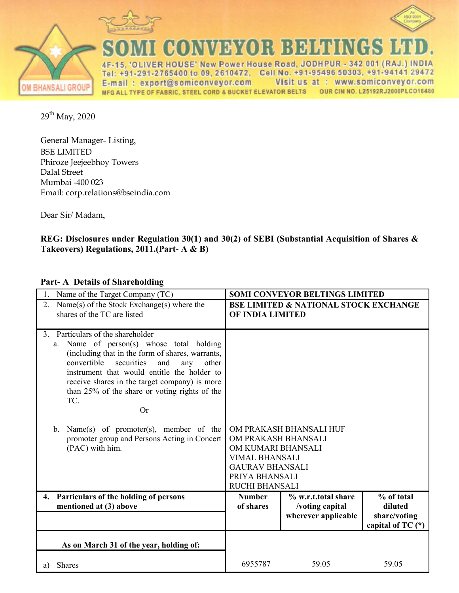



00 NY 79 YOR BEEN HUNG ٩

ER HOUSE' New Power House Road, JODHPUR - 342 001 (RAJ.) INDIA 4F 2765400 to 09, 2610472, Cell No. +91-95496 50303, +91-94141 29472 Te  $+9$ E-mail: export@somiconveyor.com Visit us at : www.somiconveyor.com MFG ALL TYPE OF FABRIC, STEEL CORD & BUCKET ELEVATOR BELTS OUR CIN NO. L25192RJ2000PLC016480

29th May, 2020

General Manager- Listing, BSE LIMITED Phiroze Jeejeebhoy Towers Dalal Street Mumbai -400 023 Email: corp.relations@bseindia.com

Dear Sir/ Madam,

### **REG: Disclosures under Regulation 30(1) and 30(2) of SEBI (Substantial Acquisition of Shares & Takeovers) Regulations, 2011.(Part- A & B)**

## **Part- A Details of Shareholding**

| Name of the Target Company (TC)                                                                                                                                                                                                                                                                                                                                                                                                                                                                                |                                                                                                                                         | <b>SOMI CONVEYOR BELTINGS LIMITED</b>                         |                                                              |
|----------------------------------------------------------------------------------------------------------------------------------------------------------------------------------------------------------------------------------------------------------------------------------------------------------------------------------------------------------------------------------------------------------------------------------------------------------------------------------------------------------------|-----------------------------------------------------------------------------------------------------------------------------------------|---------------------------------------------------------------|--------------------------------------------------------------|
| Name(s) of the Stock Exchange(s) where the<br>2.<br>shares of the TC are listed                                                                                                                                                                                                                                                                                                                                                                                                                                | OF INDIA LIMITED                                                                                                                        | <b>BSE LIMITED &amp; NATIONAL STOCK EXCHANGE</b>              |                                                              |
| Particulars of the shareholder<br>$\mathcal{E}$<br>Name of person(s) whose total holding<br>$a_{-}$<br>(including that in the form of shares, warrants,<br>convertible<br>securities<br>and<br>any<br>other<br>instrument that would entitle the holder to<br>receive shares in the target company) is more<br>than 25% of the share or voting rights of the<br>TC.<br><b>Or</b><br>Name(s) of promoter(s), member of the<br>$\mathbf{b}$ .<br>promoter group and Persons Acting in Concert<br>(PAC) with him. | OM PRAKASH BHANSALI<br>OM KUMARI BHANSALI<br><b>VIMAL BHANSALI</b><br><b>GAURAV BHANSALI</b><br>PRIYA BHANSALI<br><b>RUCHI BHANSALI</b> | OM PRAKASH BHANSALI HUF                                       |                                                              |
| Particulars of the holding of persons<br>4.<br>mentioned at (3) above                                                                                                                                                                                                                                                                                                                                                                                                                                          | <b>Number</b><br>of shares                                                                                                              | % w.r.t.total share<br>/voting capital<br>wherever applicable | % of total<br>diluted<br>share/voting<br>capital of TC $(*)$ |
| As on March 31 of the year, holding of:                                                                                                                                                                                                                                                                                                                                                                                                                                                                        |                                                                                                                                         |                                                               |                                                              |
| Shares<br>a)                                                                                                                                                                                                                                                                                                                                                                                                                                                                                                   | 6955787                                                                                                                                 | 59.05                                                         | 59.05                                                        |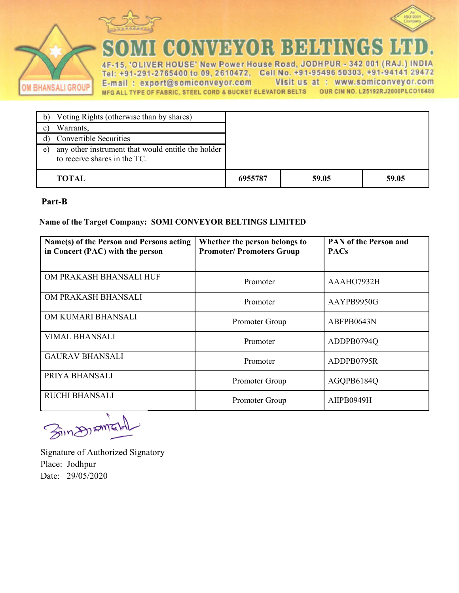



COMVEYOR BEHEL ĉ. N

VER HOUSE' New Power House Road, JODHPUR - 342 001 (RAJ.) INDIA 4F-15. : +91-291-2765400 to 09, 2610472, Cell No. +91-95496 50303, +91-94141 29472 Tel E-mail: export@somiconveyor.com Visit us at : www.somiconveyor.com MFG ALL TYPE OF FABRIC, STEEL CORD & BUCKET ELEVATOR BELTS OUR CIN NO. L25192RJ2000PLCO16480

| Voting Rights (otherwise than by shares)                                                 |         |       |       |
|------------------------------------------------------------------------------------------|---------|-------|-------|
| Warrants,                                                                                |         |       |       |
| <b>Convertible Securities</b>                                                            |         |       |       |
| any other instrument that would entitle the holder<br>e)<br>to receive shares in the TC. |         |       |       |
| <b>TOTAL</b>                                                                             | 6955787 | 59.05 | 59.05 |

#### **Part-B**

OM BHANSALI GROUP

#### **Name of the Target Company: SOMI CONVEYOR BELTINGS LIMITED**

| Name(s) of the Person and Persons acting<br>in Concert (PAC) with the person | Whether the person belongs to<br><b>Promoter/Promoters Group</b> | <b>PAN of the Person and</b><br><b>PACs</b> |
|------------------------------------------------------------------------------|------------------------------------------------------------------|---------------------------------------------|
| OM PRAKASH BHANSALI HUF                                                      | Promoter                                                         | AAAHO7932H                                  |
| OM PRAKASH BHANSALI                                                          | Promoter                                                         | AAYPB9950G                                  |
| OM KUMARI BHANSALI                                                           | Promoter Group                                                   | ABFPB0643N                                  |
| <b>VIMAL BHANSALI</b>                                                        | Promoter                                                         | ADDPB0794Q                                  |
| <b>GAURAV BHANSALI</b>                                                       | Promoter                                                         | ADDPB0795R                                  |
| PRIYA BHANSALI                                                               | Promoter Group                                                   | AGQPB6184Q                                  |
| <b>RUCHI BHANSALI</b>                                                        | Promoter Group                                                   | AIIPB0949H                                  |

Bin DIAME

Signature of Authorized Signatory Place: Jodhpur Date: 29/05/2020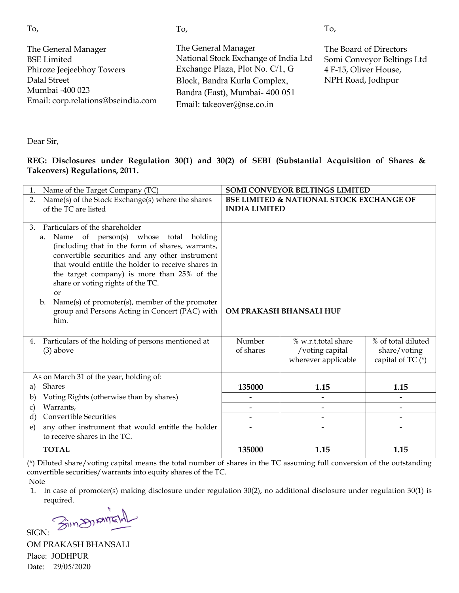| ×<br>٦<br>۰,<br>w<br>×. |
|-------------------------|

The General Manager BSE Limited Phiroze Jeejeebhoy Towers Dalal Street Mumbai -400 023 Email: corp.relations@bseindia.com The General Manager National Stock Exchange of India Ltd Exchange Plaza, Plot No. C/1, G Block, Bandra Kurla Complex, Bandra (East), Mumbai- 400 051 Email: takeover@nse.co.in The Board of Directors Somi Conveyor Beltings Ltd 4 F-15, Oliver House, NPH Road, Jodhpur

To,

To,

Dear Sir,

### **REG: Disclosures under Regulation 30(1) and 30(2) of SEBI (Substantial Acquisition of Shares & Takeovers) Regulations, 2011.**

| Name of the Target Company (TC)                                                                                                                                                                                                                                                                                 |                                                     | <b>SOMI CONVEYOR BELTINGS LIMITED</b>                         |                                                           |  |
|-----------------------------------------------------------------------------------------------------------------------------------------------------------------------------------------------------------------------------------------------------------------------------------------------------------------|-----------------------------------------------------|---------------------------------------------------------------|-----------------------------------------------------------|--|
| Name(s) of the Stock Exchange(s) where the shares<br>2.                                                                                                                                                                                                                                                         | <b>BSE LIMITED &amp; NATIONAL STOCK EXCHANGE OF</b> |                                                               |                                                           |  |
| of the TC are listed                                                                                                                                                                                                                                                                                            | <b>INDIA LIMITED</b>                                |                                                               |                                                           |  |
| Particulars of the shareholder<br>$\mathcal{B}_{\cdot}$<br>a. Name of person(s) whose total holding<br>(including that in the form of shares, warrants,<br>convertible securities and any other instrument<br>that would entitle the holder to receive shares in<br>the target company) is more than 25% of the |                                                     |                                                               |                                                           |  |
| share or voting rights of the TC.<br>or<br>Name(s) of promoter(s), member of the promoter<br>$\mathbf{b}$ .<br>group and Persons Acting in Concert (PAC) with<br>him.                                                                                                                                           |                                                     | OM PRAKASH BHANSALI HUF                                       |                                                           |  |
| Particulars of the holding of persons mentioned at<br>4.<br>$(3)$ above                                                                                                                                                                                                                                         | Number<br>of shares                                 | % w.r.t.total share<br>/voting capital<br>wherever applicable | % of total diluted<br>share/voting<br>capital of $TC$ (*) |  |
| As on March 31 of the year, holding of:                                                                                                                                                                                                                                                                         |                                                     |                                                               |                                                           |  |
| Shares<br>a)                                                                                                                                                                                                                                                                                                    | 135000                                              | 1.15                                                          | 1.15                                                      |  |
| Voting Rights (otherwise than by shares)<br>b)                                                                                                                                                                                                                                                                  |                                                     |                                                               | $\overline{\phantom{a}}$                                  |  |
| Warrants,<br>C)                                                                                                                                                                                                                                                                                                 |                                                     |                                                               |                                                           |  |
| <b>Convertible Securities</b><br>d)                                                                                                                                                                                                                                                                             |                                                     |                                                               |                                                           |  |
| any other instrument that would entitle the holder<br>e)<br>to receive shares in the TC.                                                                                                                                                                                                                        |                                                     |                                                               |                                                           |  |
| <b>TOTAL</b>                                                                                                                                                                                                                                                                                                    | 135000                                              | 1.15                                                          | 1.15                                                      |  |

(\*) Diluted share/voting capital means the total number of shares in the TC assuming full conversion of the outstanding convertible securities/warrants into equity shares of the TC.

Note

1. In case of promoter(s) making disclosure under regulation 30(2), no additional disclosure under regulation 30(1) is required.

 $SIGN:$   $\widehat{\mathcal{S}}(n)$  AMIT

OM PRAKASH BHANSALI Place: JODHPUR Date: 29/05/2020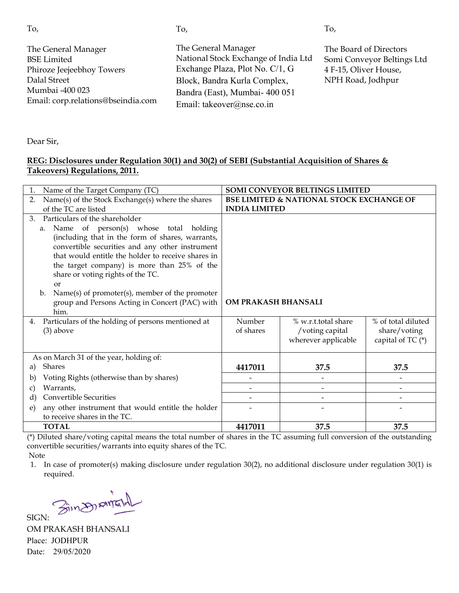| ×<br>٦<br>۰,<br>w<br>×. |
|-------------------------|

The General Manager BSE Limited Phiroze Jeejeebhoy Towers Dalal Street Mumbai -400 023 Email: corp.relations@bseindia.com The General Manager National Stock Exchange of India Ltd Exchange Plaza, Plot No. C/1, G Block, Bandra Kurla Complex, Bandra (East), Mumbai- 400 051 Email: takeover@nse.co.in The Board of Directors Somi Conveyor Beltings Ltd 4 F-15, Oliver House, NPH Road, Jodhpur

To,

Dear Sir,

### **REG: Disclosures under Regulation 30(1) and 30(2) of SEBI (Substantial Acquisition of Shares & Takeovers) Regulations, 2011.**

| Name of the Target Company (TC)<br>1.                                            |                                                     | SOMI CONVEYOR BELTINGS LIMITED |                    |
|----------------------------------------------------------------------------------|-----------------------------------------------------|--------------------------------|--------------------|
| Name(s) of the Stock Exchange(s) where the shares<br>2.                          | <b>BSE LIMITED &amp; NATIONAL STOCK EXCHANGE OF</b> |                                |                    |
| of the TC are listed                                                             | <b>INDIA LIMITED</b>                                |                                |                    |
| Particulars of the shareholder<br>3.                                             |                                                     |                                |                    |
| a. Name of person(s) whose total holding                                         |                                                     |                                |                    |
| (including that in the form of shares, warrants,                                 |                                                     |                                |                    |
| convertible securities and any other instrument                                  |                                                     |                                |                    |
| that would entitle the holder to receive shares in                               |                                                     |                                |                    |
| the target company) is more than 25% of the<br>share or voting rights of the TC. |                                                     |                                |                    |
| <sub>or</sub>                                                                    |                                                     |                                |                    |
| Name(s) of promoter(s), member of the promoter<br>$\mathbf{b}$ .                 |                                                     |                                |                    |
| group and Persons Acting in Concert (PAC) with                                   | OM PRAKASH BHANSALI                                 |                                |                    |
| him.                                                                             |                                                     |                                |                    |
| Particulars of the holding of persons mentioned at<br>4.                         | Number                                              | % w.r.t.total share            | % of total diluted |
| $(3)$ above                                                                      | of shares                                           | /voting capital                | share/voting       |
|                                                                                  |                                                     | wherever applicable            | capital of TC (*)  |
|                                                                                  |                                                     |                                |                    |
| As on March 31 of the year, holding of:<br>Shares                                |                                                     |                                |                    |
| a)                                                                               | 4417011                                             | 37.5                           | 37.5               |
| Voting Rights (otherwise than by shares)<br>b)                                   |                                                     | $\overline{\phantom{a}}$       |                    |
| Warrants,<br>C)                                                                  |                                                     |                                |                    |
| <b>Convertible Securities</b><br>d)                                              |                                                     | -                              |                    |
| any other instrument that would entitle the holder<br>e)                         |                                                     |                                |                    |
| to receive shares in the TC.                                                     |                                                     |                                |                    |
| <b>TOTAL</b>                                                                     | 4417011                                             | 37.5                           | 37.5               |

(\*) Diluted share/voting capital means the total number of shares in the TC assuming full conversion of the outstanding convertible securities/warrants into equity shares of the TC.

Note

1. In case of promoter(s) making disclosure under regulation 30(2), no additional disclosure under regulation 30(1) is required.

SIGN: Sin DIRIVENT

OM PRAKASH BHANSALI Place: JODHPUR Date: 29/05/2020

To,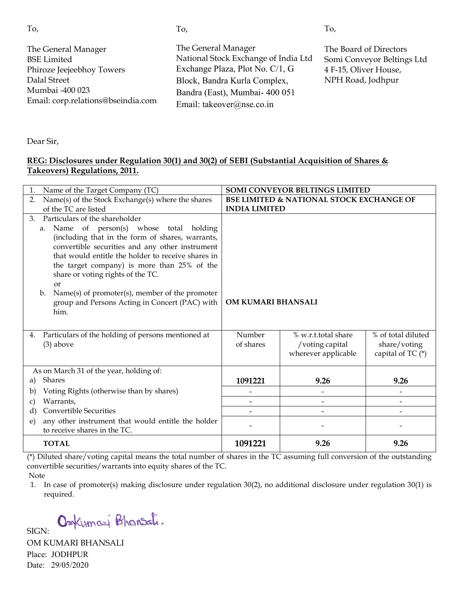| ×<br>٦<br>۰,<br>w<br>×. |
|-------------------------|

The General Manager BSE Limited Phiroze Jeejeebhoy Towers Dalal Street Mumbai -400 023 Email: corp.relations@bseindia.com The General Manager National Stock Exchange of India Ltd Exchange Plaza, Plot No. C/1, G Block, Bandra Kurla Complex, Bandra (East), Mumbai- 400 051 Email: takeover@nse.co.in The B e Board of Directors Somi i Conveyor Beltings Ltd 4 F-15 15, Oliver House, NPH H Road, Jodhpur

To,

Dear Sir,

### **REG: Disclosures under Regulation 30( 30(1) and 30(2) of SEBI (Substantial Acquisition n of Shares & Takeovers) Regulations, 2011.**

| Name of the Target Company (TC)<br>$\mathbf{1}$ .                                 |                      | SOMI CONVEYOR BELTINGS LIMITED                      |                                     |
|-----------------------------------------------------------------------------------|----------------------|-----------------------------------------------------|-------------------------------------|
| Name(s) of the Stock Exchange(s) where the shares<br>2.                           |                      | <b>BSE LIMITED &amp; NATIONAL STOCK EXCHANGE OF</b> |                                     |
| of the TC are listed                                                              | <b>INDIA LIMITED</b> |                                                     |                                     |
| Particulars of the shareholder<br>3.                                              |                      |                                                     |                                     |
| of person(s) whose total holding<br>Name<br>a.                                    |                      |                                                     |                                     |
| (including that in the form of shares, warrants,                                  |                      |                                                     |                                     |
| convertible securities and any other instrument                                   |                      |                                                     |                                     |
| that would entitle the holder to receive shares in                                |                      |                                                     |                                     |
| the target company) is more than 25% of the                                       |                      |                                                     |                                     |
| share or voting rights of the TC.                                                 |                      |                                                     |                                     |
| <sub>or</sub><br>Name(s) of promoter(s), member of the promoter<br>$\mathbf{b}$ . |                      |                                                     |                                     |
| group and Persons Acting in Concert (PAC) with                                    | OM KUMARI BHANSALI   |                                                     |                                     |
| him.                                                                              |                      |                                                     |                                     |
|                                                                                   |                      |                                                     |                                     |
|                                                                                   | Number               | % w.r.t.total share                                 | % of total diluted                  |
| Particulars of the holding of persons mentioned at<br>4.                          | of shares            |                                                     |                                     |
| $(3)$ above                                                                       |                      | /voting capital<br>wherever applicable              | share/voting<br>capital of TC $(*)$ |
|                                                                                   |                      |                                                     |                                     |
| As on March 31 of the year, holding of:                                           |                      |                                                     |                                     |
| Shares<br>a)                                                                      | 1091221              | 9.26                                                | 9.26                                |
| Voting Rights (otherwise than by shares)<br>b)                                    |                      |                                                     |                                     |
| Warrants,<br>C)                                                                   |                      | $\qquad \qquad \blacksquare$                        |                                     |
| <b>Convertible Securities</b><br>d)                                               |                      | $\overline{\phantom{0}}$                            | $\qquad \qquad \blacksquare$        |
| any other instrument that would entitle the holder<br>e)                          |                      |                                                     |                                     |
| to receive shares in the TC.                                                      |                      |                                                     |                                     |
| <b>TOTAL</b>                                                                      | 1091221              | 9.26                                                | 9.26                                |

(\*) Diluted share/voting capital means the total number of shares in the TC assuming full conversion of the outstanding convertible securities/warrants into equity shares of the TC. Note

1. In case of promoter(s) making disclosure under regulation 30(2), no additional disclosure under regulation 30(1) is required.

Omkumazi Bhansali.

OM KUMARI BHANSALI Place: JODHPUR Date: 29/05/2020

SIGN:

To,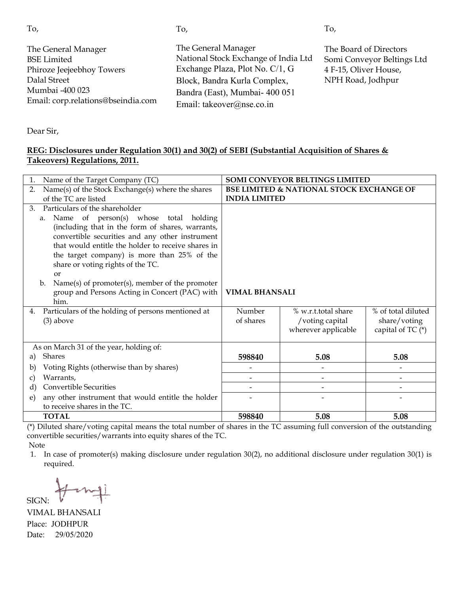| To,                                                                                                                                             | To,                                                                                                                                                                                           | To,                                                                                                |
|-------------------------------------------------------------------------------------------------------------------------------------------------|-----------------------------------------------------------------------------------------------------------------------------------------------------------------------------------------------|----------------------------------------------------------------------------------------------------|
| The General Manager<br><b>BSE</b> Limited<br>Phiroze Jeejeebhoy Towers<br>Dalal Street<br>Mumbai -400 023<br>Email: corp.relations@bseindia.com | The General Manager<br>National Stock Exchange of India Ltd<br>Exchange Plaza, Plot No. C/1, G<br>Block, Bandra Kurla Complex,<br>Bandra (East), Mumbai- 400 051<br>Email: takeover@nse.co.in | The Board of Directors<br>Somi Conveyor Beltings Ltd<br>4 F-15, Oliver House,<br>NPH Road, Jodhpur |
|                                                                                                                                                 |                                                                                                                                                                                               |                                                                                                    |

Dear Sir,

#### **REG: Disclosures under Regulation 30( 30(1) and 30(2) of SEBI (Substantial Acquisition n of Shares & Takeovers) Regulations, 2011.**

| Name of the Target Company (TC)<br>$\mathbf{1}$ .                                                     |                                                     | SOMI CONVEYOR BELTINGS LIMITED |                     |
|-------------------------------------------------------------------------------------------------------|-----------------------------------------------------|--------------------------------|---------------------|
| Name(s) of the Stock Exchange(s) where the shares<br>2.                                               | <b>BSE LIMITED &amp; NATIONAL STOCK EXCHANGE OF</b> |                                |                     |
| of the TC are listed                                                                                  | <b>INDIA LIMITED</b>                                |                                |                     |
| Particulars of the shareholder<br>3.                                                                  |                                                     |                                |                     |
| Name of person(s) whose total holding<br>a.                                                           |                                                     |                                |                     |
| (including that in the form of shares, warrants,                                                      |                                                     |                                |                     |
| convertible securities and any other instrument<br>that would entitle the holder to receive shares in |                                                     |                                |                     |
| the target company) is more than 25% of the                                                           |                                                     |                                |                     |
| share or voting rights of the TC.                                                                     |                                                     |                                |                     |
| or                                                                                                    |                                                     |                                |                     |
| Name(s) of promoter(s), member of the promoter<br>b.                                                  |                                                     |                                |                     |
| group and Persons Acting in Concert (PAC) with                                                        | <b>VIMAL BHANSALI</b>                               |                                |                     |
| him.                                                                                                  |                                                     |                                |                     |
| Particulars of the holding of persons mentioned at<br>4.                                              | Number                                              | % w.r.t.total share            | % of total diluted  |
| $(3)$ above                                                                                           | of shares                                           | /voting capital                | share/voting        |
|                                                                                                       |                                                     | wherever applicable            | capital of TC $(*)$ |
| As on March 31 of the year, holding of:                                                               |                                                     |                                |                     |
| Shares<br>a)                                                                                          | 598840                                              | 5.08                           | 5.08                |
| Voting Rights (otherwise than by shares)<br>b)                                                        |                                                     |                                |                     |
| Warrants,<br>C)                                                                                       |                                                     | $\blacksquare$                 |                     |
| <b>Convertible Securities</b><br>d)                                                                   |                                                     |                                |                     |
| any other instrument that would entitle the holder<br>e)                                              |                                                     |                                |                     |
| to receive shares in the TC.                                                                          |                                                     |                                |                     |
| <b>TOTAL</b>                                                                                          | 598840                                              | 5.08                           | 5.08                |

(\*) Diluted share/voting capital means the total number of shares in the TC assuming full conversion of the outstanding convertible securities/warrants into equity shares of the TC.

Note

1. In case of promoter(s) making disclosure under regulation 30(2), no additional disclosure under regulation 30(1) is required.

SIGN:

VIMAL BHANSALI Place: JODHPUR Date: 29/05/2020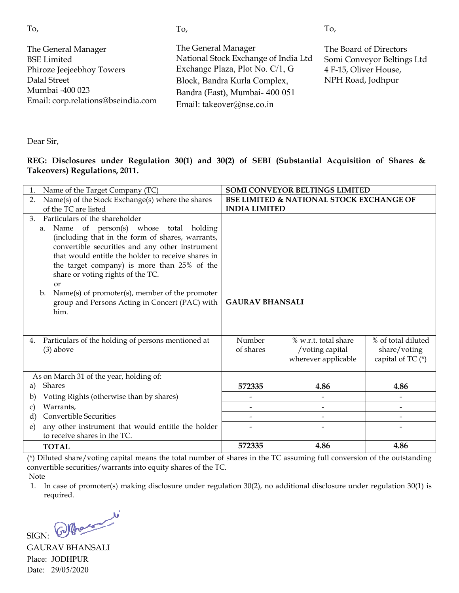| To,                                                                                                                                             | To,                                                                                                                                                                                           | To,                                                                                                |
|-------------------------------------------------------------------------------------------------------------------------------------------------|-----------------------------------------------------------------------------------------------------------------------------------------------------------------------------------------------|----------------------------------------------------------------------------------------------------|
| The General Manager<br><b>BSE</b> Limited<br>Phiroze Jeejeebhoy Towers<br>Dalal Street<br>Mumbai -400 023<br>Email: corp.relations@bseindia.com | The General Manager<br>National Stock Exchange of India Ltd<br>Exchange Plaza, Plot No. C/1, G<br>Block, Bandra Kurla Complex,<br>Bandra (East), Mumbai- 400 051<br>Email: takeover@nse.co.in | The Board of Directors<br>Somi Conveyor Beltings Ltd<br>4 F-15, Oliver House,<br>NPH Road, Jodhpur |
|                                                                                                                                                 |                                                                                                                                                                                               |                                                                                                    |

Dear Sir,

#### <u>**REG: Disclosures under Regulation 30(1) and 30(2) of SEBI (Substantial Acquisition of Shares & </u></u> Takeovers) Regulations, 2011.**

| Name of the Target Company (TC)                                                                   | SOMI CONVEYOR BELTINGS LIMITED                      |                          |                          |
|---------------------------------------------------------------------------------------------------|-----------------------------------------------------|--------------------------|--------------------------|
| Name(s) of the Stock Exchange(s) where the shares<br>2.                                           | <b>BSE LIMITED &amp; NATIONAL STOCK EXCHANGE OF</b> |                          |                          |
| of the TC are listed                                                                              | <b>INDIA LIMITED</b>                                |                          |                          |
| Particulars of the shareholder<br>3.                                                              |                                                     |                          |                          |
| Name of person(s) whose total holding<br>a.                                                       |                                                     |                          |                          |
| (including that in the form of shares, warrants,                                                  |                                                     |                          |                          |
| convertible securities and any other instrument                                                   |                                                     |                          |                          |
| that would entitle the holder to receive shares in<br>the target company) is more than 25% of the |                                                     |                          |                          |
| share or voting rights of the TC.                                                                 |                                                     |                          |                          |
| or                                                                                                |                                                     |                          |                          |
| Name(s) of promoter(s), member of the promoter<br>$\mathbf{b}$ .                                  |                                                     |                          |                          |
| group and Persons Acting in Concert (PAC) with                                                    | <b>GAURAV BHANSALI</b>                              |                          |                          |
| him.                                                                                              |                                                     |                          |                          |
|                                                                                                   |                                                     |                          |                          |
| Particulars of the holding of persons mentioned at<br>4.                                          | Number                                              | % w.r.t. total share     | % of total diluted       |
| $(3)$ above                                                                                       | of shares                                           | /voting capital          | share/voting             |
|                                                                                                   |                                                     | wherever applicable      | capital of TC $(*)$      |
|                                                                                                   |                                                     |                          |                          |
| As on March 31 of the year, holding of:                                                           |                                                     |                          |                          |
| <b>Shares</b><br>a)                                                                               | 572335                                              | 4.86                     | 4.86                     |
| Voting Rights (otherwise than by shares)<br>b)                                                    |                                                     |                          |                          |
| Warrants,<br>C)                                                                                   |                                                     |                          |                          |
| <b>Convertible Securities</b><br>$\mathbf{d}$                                                     | $\overline{a}$                                      | $\overline{\phantom{0}}$ | $\overline{\phantom{0}}$ |
| any other instrument that would entitle the holder<br>e)                                          |                                                     |                          |                          |
| to receive shares in the TC.                                                                      |                                                     |                          |                          |
| <b>TOTAL</b>                                                                                      | 572335                                              | 4.86                     | 4.86                     |

(\*) Diluted share/voting capital means the total number of shares in the TC assuming full conversion of the outstanding convertible securities/warrants into equity shares of the TC.

Note

1. In case of promoter(s) making disclosure under regulation 30(2), no additional disclosure under regulation 30(1) is required.

SIGN: Who

GAURAV BHANSALI Place: JODHPUR Date: 29/05/2020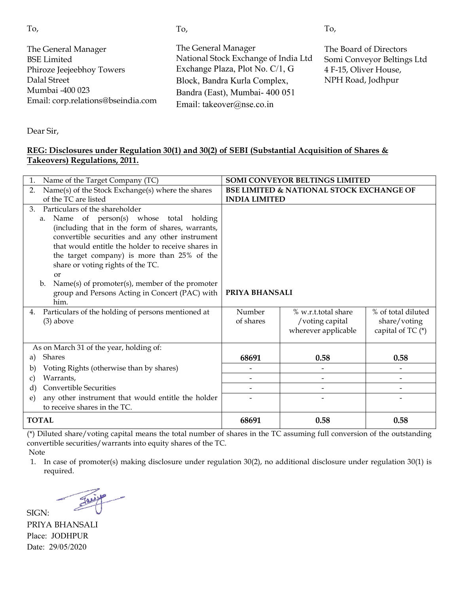| To,                                                                                                                                             | To,                                                                                                                                                                                           | To,                                                                                                |
|-------------------------------------------------------------------------------------------------------------------------------------------------|-----------------------------------------------------------------------------------------------------------------------------------------------------------------------------------------------|----------------------------------------------------------------------------------------------------|
| The General Manager<br><b>BSE</b> Limited<br>Phiroze Jeejeebhoy Towers<br>Dalal Street<br>Mumbai -400 023<br>Email: corp.relations@bseindia.com | The General Manager<br>National Stock Exchange of India Ltd<br>Exchange Plaza, Plot No. C/1, G<br>Block, Bandra Kurla Complex,<br>Bandra (East), Mumbai- 400 051<br>Email: takeover@nse.co.in | The Board of Directors<br>Somi Conveyor Beltings Ltd<br>4 F-15, Oliver House,<br>NPH Road, Jodhpur |
|                                                                                                                                                 |                                                                                                                                                                                               |                                                                                                    |

Dear Sir,

#### **REG: Disclosures under Regulation 30( 30(1) and 30(2) of SEBI (Substantial Acquisition n of Shares & Takeovers) Regulations, 2011.**

| Name of the Target Company (TC)<br>1.                                         | SOMI CONVEYOR BELTINGS LIMITED                      |                          |                    |
|-------------------------------------------------------------------------------|-----------------------------------------------------|--------------------------|--------------------|
| Name(s) of the Stock Exchange(s) where the shares<br>2.                       | <b>BSE LIMITED &amp; NATIONAL STOCK EXCHANGE OF</b> |                          |                    |
| of the TC are listed                                                          | <b>INDIA LIMITED</b>                                |                          |                    |
| Particulars of the shareholder<br>3.                                          |                                                     |                          |                    |
| Name of person(s) whose total holding<br>a.                                   |                                                     |                          |                    |
| (including that in the form of shares, warrants,                              |                                                     |                          |                    |
| convertible securities and any other instrument                               |                                                     |                          |                    |
| that would entitle the holder to receive shares in                            |                                                     |                          |                    |
| the target company) is more than 25% of the                                   |                                                     |                          |                    |
| share or voting rights of the TC.                                             |                                                     |                          |                    |
| <b>or</b><br>Name(s) of promoter(s), member of the promoter<br>$\mathbf{b}$ . |                                                     |                          |                    |
| group and Persons Acting in Concert (PAC) with                                | PRIYA BHANSALI                                      |                          |                    |
| him.                                                                          |                                                     |                          |                    |
| Particulars of the holding of persons mentioned at<br>4.                      | Number                                              | % w.r.t.total share      | % of total diluted |
| $(3)$ above                                                                   | of shares                                           | /voting capital          | share/voting       |
|                                                                               |                                                     | wherever applicable      | capital of TC (*)  |
|                                                                               |                                                     |                          |                    |
| As on March 31 of the year, holding of:                                       |                                                     |                          |                    |
| Shares<br>a)                                                                  | 68691                                               | 0.58                     | 0.58               |
| Voting Rights (otherwise than by shares)<br>b)                                |                                                     |                          |                    |
| Warrants,<br>C)                                                               |                                                     |                          |                    |
| <b>Convertible Securities</b><br>d)                                           |                                                     | $\overline{\phantom{a}}$ |                    |
| any other instrument that would entitle the holder<br>e)                      |                                                     |                          |                    |
| to receive shares in the TC.                                                  |                                                     |                          |                    |
| <b>TOTAL</b>                                                                  | 68691                                               | 0.58                     | 0.58               |

(\*) Diluted share/voting capital means the total number of shares in the TC assuming full conversion of the outstanding convertible securities/warrants into equity shares of the TC.

Note

SIGN:

1. In case of promoter(s) making disclosure under regulation 30(2), no additional disclosure under regulation 30(1) is required.

PRIYA BHANSALI Place: JODHPUR Date: 29/05/2020